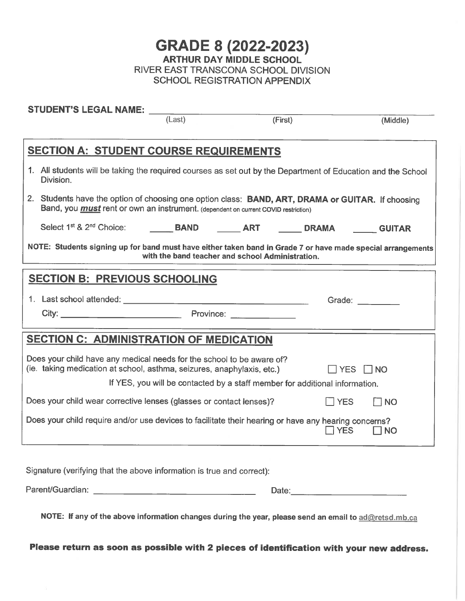GRADE 8 (2022-2023) ARTHUR DAY MIDDLE SCHOOL RIVER EAST TRANSCONA SCHOOL DIVISION SCHOOL REGISTRATION APPENDIX

|                                                                             | STUDENT'S LEGAL NAME: _____                                                                                                                                                                                                   |        |         |                      |           |  |
|-----------------------------------------------------------------------------|-------------------------------------------------------------------------------------------------------------------------------------------------------------------------------------------------------------------------------|--------|---------|----------------------|-----------|--|
|                                                                             |                                                                                                                                                                                                                               | (Last) | (First) |                      | (Middle)  |  |
|                                                                             | <b>SECTION A: STUDENT COURSE REQUIREMENTS</b>                                                                                                                                                                                 |        |         |                      |           |  |
|                                                                             | 1. All students will be taking the required courses as set out by the Department of Education and the School<br>Division.                                                                                                     |        |         |                      |           |  |
|                                                                             | 2. Students have the option of choosing one option class: BAND, ART, DRAMA or GUITAR. If choosing<br>Band, you <i>must</i> rent or own an instrument. (dependent on current COVID restriction)                                |        |         |                      |           |  |
|                                                                             |                                                                                                                                                                                                                               |        |         |                      |           |  |
|                                                                             | NOTE: Students signing up for band must have either taken band in Grade 7 or have made special arrangements<br>with the band teacher and school Administration.                                                               |        |         |                      |           |  |
|                                                                             | <b>SECTION B: PREVIOUS SCHOOLING</b>                                                                                                                                                                                          |        |         |                      |           |  |
|                                                                             |                                                                                                                                                                                                                               |        |         | Grade: $\frac{1}{2}$ |           |  |
|                                                                             | City: City: City: City: City: City: City: City: City: City: City: City: City: City: City: City: City: City: City: City: City: City: City: City: City: City: City: City: City: City: City: City: City: City: City: City: City: |        |         |                      |           |  |
|                                                                             | <b>SECTION C: ADMINISTRATION OF MEDICATION</b>                                                                                                                                                                                |        |         |                      |           |  |
|                                                                             | Does your child have any medical needs for the school to be aware of?<br>(ie. taking medication at school, asthma, seizures, anaphylaxis, etc.)<br>$\Box$ YES<br>$\Box$ NO                                                    |        |         |                      |           |  |
| If YES, you will be contacted by a staff member for additional information. |                                                                                                                                                                                                                               |        |         |                      |           |  |
|                                                                             | Does your child wear corrective lenses (glasses or contact lenses)?                                                                                                                                                           |        |         | $\Box$ YES           | <b>NO</b> |  |
|                                                                             | Does your child require and/or use devices to facilitate their hearing or have any hearing concerns?                                                                                                                          |        |         | <b>YES</b>           | <b>NO</b> |  |
|                                                                             | Signature (verifying that the above information is true and correct):                                                                                                                                                         |        |         |                      |           |  |

NOTE: If any of the above information changes during the year, please send an email to ad@retsd.mb.ca

Parent/Guardian: \_ Date:

Please return as soon as possible with 2 pieces of identification with your new address.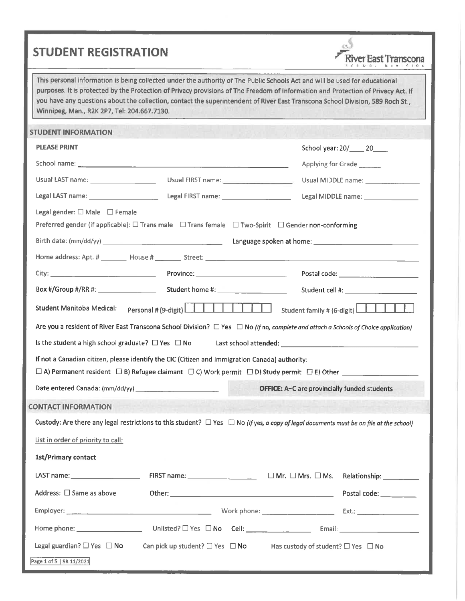## STUDENT REGISTRATION



This personal information is being collected under the authority of The Public Schools Act and will be used for educational purposes. It is protected by the Protection of Privacy provisions of The Freedom of Information and Protection of Privacy Act. If you have any questions about the collection, contact the superintendent of River East Transcona School Division, 589 Roch St., Winnipeg, Man., R2K 2P7, Tel: 204. 667. 7130.

| <b>STUDENT INFORMATION</b>                    |                                                                                                                                                                                                                                                                                                                                                                                                                                                                                                                          |                                                     |                                                  |
|-----------------------------------------------|--------------------------------------------------------------------------------------------------------------------------------------------------------------------------------------------------------------------------------------------------------------------------------------------------------------------------------------------------------------------------------------------------------------------------------------------------------------------------------------------------------------------------|-----------------------------------------------------|--------------------------------------------------|
| <b>PLEASE PRINT</b>                           |                                                                                                                                                                                                                                                                                                                                                                                                                                                                                                                          |                                                     | School year: 20/_____ 20____                     |
|                                               |                                                                                                                                                                                                                                                                                                                                                                                                                                                                                                                          |                                                     | Applying for Grade                               |
| Usual LAST name: _______________________      | Usual FIRST name: _____________________                                                                                                                                                                                                                                                                                                                                                                                                                                                                                  |                                                     | Usual MIDDLE name: ________________              |
|                                               | Legal LAST name: ___________________________________Legal FIRST name: _____________________________                                                                                                                                                                                                                                                                                                                                                                                                                      |                                                     | Legal MIDDLE name: _________________             |
| Legal gender: $\square$ Male $\square$ Female |                                                                                                                                                                                                                                                                                                                                                                                                                                                                                                                          |                                                     |                                                  |
|                                               | Preferred gender (if applicable): $\Box$ Trans male $\Box$ Trans female $\Box$ Two-Spirit $\Box$ Gender non-conforming                                                                                                                                                                                                                                                                                                                                                                                                   |                                                     |                                                  |
|                                               |                                                                                                                                                                                                                                                                                                                                                                                                                                                                                                                          |                                                     |                                                  |
|                                               |                                                                                                                                                                                                                                                                                                                                                                                                                                                                                                                          |                                                     |                                                  |
|                                               |                                                                                                                                                                                                                                                                                                                                                                                                                                                                                                                          |                                                     |                                                  |
|                                               | Box #/Group #/RR #: Student home #: Student home #: Student cell #:                                                                                                                                                                                                                                                                                                                                                                                                                                                      |                                                     |                                                  |
| <b>Student Manitoba Medical:</b>              |                                                                                                                                                                                                                                                                                                                                                                                                                                                                                                                          |                                                     | Student family # (6-digit) $\boxed{\phantom{a}}$ |
|                                               | Are you a resident of River East Transcona School Division? $\Box$ Yes $\Box$ No (If no, complete and attach a Schools of Choice application)                                                                                                                                                                                                                                                                                                                                                                            |                                                     |                                                  |
|                                               |                                                                                                                                                                                                                                                                                                                                                                                                                                                                                                                          |                                                     |                                                  |
|                                               |                                                                                                                                                                                                                                                                                                                                                                                                                                                                                                                          |                                                     |                                                  |
|                                               | If not a Canadian citizen, please identify the CIC (Citizen and Immigration Canada) authority:<br>$\square$ A) Permanent resident $\square$ B) Refugee claimant $\square$ C) Work permit $\square$ D) Study permit $\square$ E) Other $\square$                                                                                                                                                                                                                                                                          |                                                     |                                                  |
|                                               |                                                                                                                                                                                                                                                                                                                                                                                                                                                                                                                          | <b>OFFICE:</b> A-C are provincially funded students |                                                  |
|                                               |                                                                                                                                                                                                                                                                                                                                                                                                                                                                                                                          |                                                     |                                                  |
| <b>CONTACT INFORMATION</b>                    |                                                                                                                                                                                                                                                                                                                                                                                                                                                                                                                          |                                                     |                                                  |
|                                               | Custody: Are there any legal restrictions to this student? $\Box$ Yes $\Box$ No (If yes, a copy of legal documents must be on file at the school)                                                                                                                                                                                                                                                                                                                                                                        |                                                     |                                                  |
| List in order of priority to call:            |                                                                                                                                                                                                                                                                                                                                                                                                                                                                                                                          |                                                     |                                                  |
| 1st/Primary contact                           |                                                                                                                                                                                                                                                                                                                                                                                                                                                                                                                          |                                                     |                                                  |
| LAST name: $\sqrt{2\pi}$                      | FIRST name: ___________________________________ □ Mr. □ Mrs. □ Ms. Relationship: ___________                                                                                                                                                                                                                                                                                                                                                                                                                             |                                                     |                                                  |
| Address: $\square$ Same as above              |                                                                                                                                                                                                                                                                                                                                                                                                                                                                                                                          |                                                     | Postal code:                                     |
|                                               |                                                                                                                                                                                                                                                                                                                                                                                                                                                                                                                          |                                                     |                                                  |
| Home phone: _____________________             | $\text{Unlisted?} \ \Box \ \text{Yes} \quad \Box \ \text{No} \qquad \text{Cell:} \ \begin{tabular}{c} \textbf{\texttt{}} \\ \textbf{\texttt{}} \end{tabular} \quad \begin{tabular}{c} \textbf{\texttt{}} \\ \textbf{\texttt{}} \end{tabular} \quad \begin{tabular}{c} \textbf{\texttt{}} \\ \textbf{\texttt{}} \end{tabular} \quad \begin{tabular}{c} \textbf{\texttt{}} \\ \textbf{\texttt{}} \end{tabular} \quad \begin{tabular}{c} \textbf{\texttt{}} \\ \textbf{\texttt{}} \end{tabular} \quad \begin{tabular}{c} \$ |                                                     |                                                  |
| Legal guardian? $\square$ Yes $\square$ No    | Can pick up student? $\square$ Yes $\square$ No Has custody of student? $\square$ Yes $\square$ No                                                                                                                                                                                                                                                                                                                                                                                                                       |                                                     |                                                  |
| Page 1 of 5   SR 11/2021                      |                                                                                                                                                                                                                                                                                                                                                                                                                                                                                                                          |                                                     |                                                  |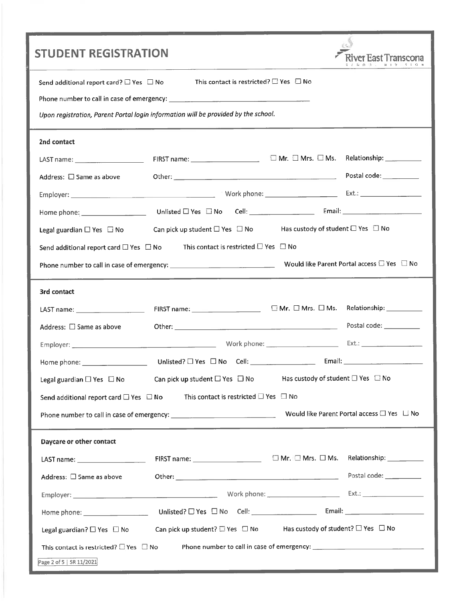| <b>STUDENT REGISTRATION</b>                                                                                                                                                                                                    |                                                                                               | ver East Transcona        |
|--------------------------------------------------------------------------------------------------------------------------------------------------------------------------------------------------------------------------------|-----------------------------------------------------------------------------------------------|---------------------------|
|                                                                                                                                                                                                                                |                                                                                               |                           |
| Send additional report card? $\Box$ Yes $\Box$ No                                                                                                                                                                              | This contact is restricted? $\Box$ Yes $\Box$ No                                              |                           |
|                                                                                                                                                                                                                                |                                                                                               |                           |
|                                                                                                                                                                                                                                | Upon registration, Parent Portal login information will be provided by the school.            |                           |
| 2nd contact                                                                                                                                                                                                                    |                                                                                               |                           |
| LAST name: __________________________                                                                                                                                                                                          |                                                                                               | Relationship: ___________ |
| Address: $\square$ Same as above                                                                                                                                                                                               |                                                                                               |                           |
|                                                                                                                                                                                                                                |                                                                                               |                           |
|                                                                                                                                                                                                                                |                                                                                               |                           |
| Legal guardian $\square$ Yes $\square$ No                                                                                                                                                                                      | Can pick up student $\Box$ Yes $\Box$ No Has custody of student $\Box$ Yes $\Box$ No          |                           |
| Send additional report card $\square$ Yes $\square$ No                                                                                                                                                                         | This contact is restricted $\square$ Yes $\square$ No                                         |                           |
|                                                                                                                                                                                                                                |                                                                                               |                           |
| 3rd contact                                                                                                                                                                                                                    |                                                                                               |                           |
|                                                                                                                                                                                                                                |                                                                                               | Relationship: __________  |
| Address: □ Same as above                                                                                                                                                                                                       |                                                                                               | Postal code: __________   |
|                                                                                                                                                                                                                                |                                                                                               |                           |
|                                                                                                                                                                                                                                |                                                                                               |                           |
| Legal guardian $\Box$ Yes $\Box$ No                                                                                                                                                                                            | Has custody of student $\square$ Yes $\square$ No<br>Can pick up student $\Box$ Yes $\Box$ No |                           |
| Send additional report card □ Yes □ No                                                                                                                                                                                         | This contact is restricted $\square$ Yes $\square$ No                                         |                           |
|                                                                                                                                                                                                                                |                                                                                               |                           |
| Daycare or other contact                                                                                                                                                                                                       |                                                                                               |                           |
| LAST name: Name and the state of the state of the state of the state of the state of the state of the state of the state of the state of the state of the state of the state of the state of the state of the state of the sta |                                                                                               |                           |
| Address: □ Same as above                                                                                                                                                                                                       |                                                                                               | Postal code: ___________  |
|                                                                                                                                                                                                                                |                                                                                               |                           |
| Home phone: _____________________                                                                                                                                                                                              |                                                                                               |                           |
| Legal guardian? $\square$ Yes $\square$ No                                                                                                                                                                                     | Has custody of student? $\Box$ Yes $\Box$ No<br>Can pick up student? $\Box$ Yes $\Box$ No     |                           |
| This contact is restricted? $\Box$ Yes $\Box$ No                                                                                                                                                                               |                                                                                               |                           |
| Page 2 of 5   SR 11/2021                                                                                                                                                                                                       |                                                                                               |                           |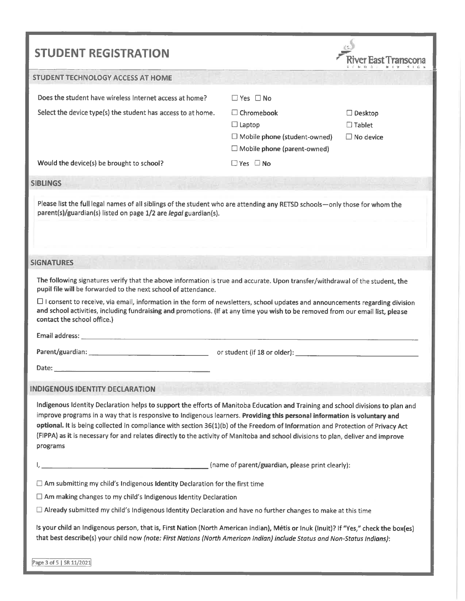| <b>STUDENT REGISTRATION</b>                                                                                                                                                                                                                                                                                                                                                                                                                                                                                                                       |                                                                                                     |                                                     |  |  |
|---------------------------------------------------------------------------------------------------------------------------------------------------------------------------------------------------------------------------------------------------------------------------------------------------------------------------------------------------------------------------------------------------------------------------------------------------------------------------------------------------------------------------------------------------|-----------------------------------------------------------------------------------------------------|-----------------------------------------------------|--|--|
| <b>STUDENT TECHNOLOGY ACCESS AT HOME</b>                                                                                                                                                                                                                                                                                                                                                                                                                                                                                                          |                                                                                                     |                                                     |  |  |
| Does the student have wireless Internet access at home?                                                                                                                                                                                                                                                                                                                                                                                                                                                                                           | $\Box$ Yes $\Box$ No                                                                                |                                                     |  |  |
| Select the device type(s) the student has access to at home.                                                                                                                                                                                                                                                                                                                                                                                                                                                                                      | $\Box$ Chromebook<br>$\Box$ Laptop<br>□ Mobile phone (student-owned)<br>Mobile phone (parent-owned) | $\Box$ Desktop<br>$\Box$ Tablet<br>$\Box$ No device |  |  |
| Would the device(s) be brought to school?                                                                                                                                                                                                                                                                                                                                                                                                                                                                                                         | $\Box$ Yes $\Box$ No                                                                                |                                                     |  |  |
| <b>SIBLINGS</b>                                                                                                                                                                                                                                                                                                                                                                                                                                                                                                                                   |                                                                                                     |                                                     |  |  |
| Please list the full legal names of all siblings of the student who are attending any RETSD schools-only those for whom the<br>parent(s)/guardian(s) listed on page 1/2 are legal guardian(s).                                                                                                                                                                                                                                                                                                                                                    |                                                                                                     |                                                     |  |  |
| <b>SIGNATURES</b>                                                                                                                                                                                                                                                                                                                                                                                                                                                                                                                                 |                                                                                                     |                                                     |  |  |
| The following signatures verify that the above information is true and accurate. Upon transfer/withdrawal of the student, the<br>pupil file will be forwarded to the next school of attendance.<br>$\Box$ I consent to receive, via email, information in the form of newsletters, school updates and announcements regarding division<br>and school activities, including fundraising and promotions. (If at any time you wish to be removed from our email list, please<br>contact the school office.)                                          |                                                                                                     |                                                     |  |  |
|                                                                                                                                                                                                                                                                                                                                                                                                                                                                                                                                                   |                                                                                                     |                                                     |  |  |
| Date:<br><u> 1989 - Johann Stein, mars an deus an deus Amerikaansk kommunister (</u>                                                                                                                                                                                                                                                                                                                                                                                                                                                              |                                                                                                     |                                                     |  |  |
| <b>INDIGENOUS IDENTITY DECLARATION</b>                                                                                                                                                                                                                                                                                                                                                                                                                                                                                                            |                                                                                                     |                                                     |  |  |
| Indigenous Identity Declaration helps to support the efforts of Manitoba Education and Training and school divisions to plan and<br>improve programs in a way that is responsive to Indigenous learners. Providing this personal information is voluntary and<br>optional. It is being collected in compliance with section 36(1)(b) of the Freedom of Information and Protection of Privacy Act<br>(FIPPA) as it is necessary for and relates directly to the activity of Manitoba and school divisions to plan, deliver and improve<br>programs |                                                                                                     |                                                     |  |  |
|                                                                                                                                                                                                                                                                                                                                                                                                                                                                                                                                                   |                                                                                                     |                                                     |  |  |
| $\Box$ Am submitting my child's Indigenous Identity Declaration for the first time                                                                                                                                                                                                                                                                                                                                                                                                                                                                |                                                                                                     |                                                     |  |  |
| $\Box$ Am making changes to my child's Indigenous Identity Declaration                                                                                                                                                                                                                                                                                                                                                                                                                                                                            |                                                                                                     |                                                     |  |  |
| $\Box$ Already submitted my child's Indigenous Identity Declaration and have no further changes to make at this time                                                                                                                                                                                                                                                                                                                                                                                                                              |                                                                                                     |                                                     |  |  |
| Is your child an Indigenous person, that is, First Nation (North American Indian), Métis or Inuk (Inuit)? If "Yes," check the box(es)<br>that best describe(s) your child now (note: First Nations (North American Indian) include Status and Non-Status Indians):                                                                                                                                                                                                                                                                                |                                                                                                     |                                                     |  |  |
| Page 3 of 5   SR 11/2021                                                                                                                                                                                                                                                                                                                                                                                                                                                                                                                          |                                                                                                     |                                                     |  |  |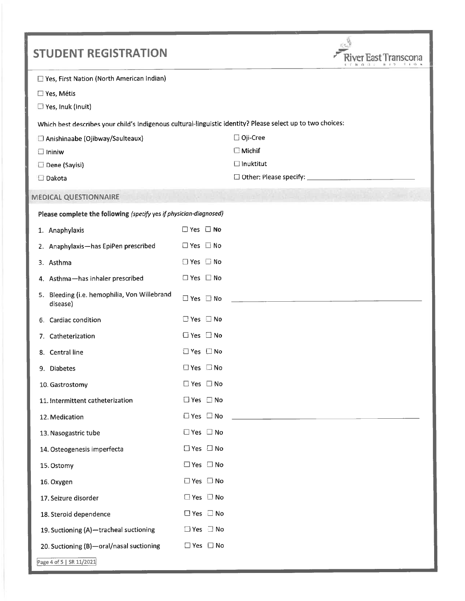| <b>STUDENT REGISTRATION</b>                                                                                 |                            |                  |
|-------------------------------------------------------------------------------------------------------------|----------------------------|------------------|
| Yes, First Nation (North American Indian)<br>□ Yes, Métis<br>Yes, Inuk (Inuit)                              |                            |                  |
| Which best describes your child's Indigenous cultural-linguistic identity? Please select up to two choices: |                            |                  |
| Anishinaabe (Ojibway/Saulteaux)                                                                             |                            | □ Oji-Cree       |
| $\Box$ Ininiw                                                                                               |                            | $\Box$ Michif    |
| Dene (Sayisi)<br>Dakota                                                                                     |                            | $\Box$ Inuktitut |
| <b>MEDICAL QUESTIONNAIRE</b>                                                                                |                            |                  |
| Please complete the following (specify yes if physician-diagnosed)                                          |                            |                  |
|                                                                                                             | $\Box$ Yes $\Box$ No       |                  |
| 1. Anaphylaxis<br>2. Anaphylaxis-has EpiPen prescribed                                                      | $\Box$ Yes $\Box$ No       |                  |
| 3. Asthma                                                                                                   | $\Box$ Yes $\Box$ No       |                  |
| 4. Asthma-has inhaler prescribed                                                                            | $\Box$ Yes $\Box$ No       |                  |
| 5. Bleeding (i.e. hemophilia, Von Willebrand<br>disease)                                                    | $\Box$ Yes $\Box$ No       |                  |
| 6. Cardiac condition                                                                                        | $\Box$ Yes $\Box$ No       |                  |
| 7. Catheterization                                                                                          | $\Box$ Yes $\Box$ No       |                  |
| 8. Central line                                                                                             | $\Box$ Yes $\Box$ No       |                  |
| 9. Diabetes                                                                                                 | $\Box$ Yes $\Box$ No       |                  |
| 10. Gastrostomy                                                                                             | $\Box$ Yes $\Box$ No       |                  |
| 11. Intermittent catheterization                                                                            | $\Box$ Yes $\Box$ No       |                  |
| 12. Medication                                                                                              | $\Box$ Yes $\Box$ No       |                  |
| 13. Nasogastric tube                                                                                        | $\Box$ Yes $\Box$ No       |                  |
| 14. Osteogenesis imperfecta                                                                                 | $\Box$ Yes $\Box$ No       |                  |
| 15. Ostomy                                                                                                  | $\Box$ Yes $\Box$ No       |                  |
| 16. Oxygen                                                                                                  | $\square$ Yes $\square$ No |                  |
| 17. Seizure disorder                                                                                        | $\square$ Yes $\square$ No |                  |
| 18. Steroid dependence                                                                                      | $\square$ Yes $\square$ No |                  |
| 19. Suctioning (A)-tracheal suctioning                                                                      | $\Box$ Yes $\Box$ No       |                  |
| 20. Suctioning (B)-oral/nasal suctioning                                                                    | $\square$ Yes $\square$ No |                  |
| Page 4 of 5   SR 11/2021                                                                                    |                            |                  |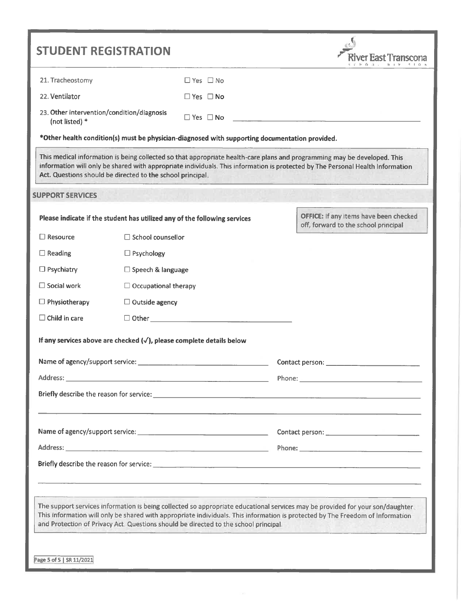| <b>STUDENT REGISTRATION</b>                                  |                             |                                                                                                |                                                                                                                                                                                                                                                                                                                                                          |
|--------------------------------------------------------------|-----------------------------|------------------------------------------------------------------------------------------------|----------------------------------------------------------------------------------------------------------------------------------------------------------------------------------------------------------------------------------------------------------------------------------------------------------------------------------------------------------|
|                                                              |                             |                                                                                                |                                                                                                                                                                                                                                                                                                                                                          |
| 21. Tracheostomy                                             |                             | $\Box$ Yes $\Box$ No                                                                           |                                                                                                                                                                                                                                                                                                                                                          |
| 22. Ventilator                                               |                             | $\Box$ Yes $\Box$ No                                                                           |                                                                                                                                                                                                                                                                                                                                                          |
| 23. Other intervention/condition/diagnosis<br>(not listed) * |                             | $\Box$ Yes $\Box$ No                                                                           |                                                                                                                                                                                                                                                                                                                                                          |
|                                                              |                             | *Other health condition(s) must be physician-diagnosed with supporting documentation provided. |                                                                                                                                                                                                                                                                                                                                                          |
| Act. Questions should be directed to the school principal.   |                             |                                                                                                | This medical information is being collected so that appropriate health-care plans and programming may be developed. This<br>information will only be shared with appropriate individuals. This information is protected by The Personal Health Information                                                                                               |
| <b>SUPPORT SERVICES</b>                                      |                             |                                                                                                |                                                                                                                                                                                                                                                                                                                                                          |
|                                                              |                             | Please indicate if the student has utilized any of the following services                      | <b>OFFICE: If any items have been checked</b><br>off, forward to the school principal                                                                                                                                                                                                                                                                    |
| $\square$ Resource                                           | $\Box$ School counsellor    |                                                                                                |                                                                                                                                                                                                                                                                                                                                                          |
| $\Box$ Reading                                               | $\Box$ Psychology           |                                                                                                |                                                                                                                                                                                                                                                                                                                                                          |
| $\Box$ Psychiatry                                            | $\Box$ Speech & language    |                                                                                                |                                                                                                                                                                                                                                                                                                                                                          |
| $\Box$ Social work                                           | $\Box$ Occupational therapy |                                                                                                |                                                                                                                                                                                                                                                                                                                                                          |
| $\Box$ Physiotherapy                                         | $\Box$ Outside agency       |                                                                                                |                                                                                                                                                                                                                                                                                                                                                          |
| $\Box$ Child in care                                         |                             | $\Box$ Other $\Box$                                                                            |                                                                                                                                                                                                                                                                                                                                                          |
|                                                              |                             | If any services above are checked $(\checkmark)$ , please complete details below               |                                                                                                                                                                                                                                                                                                                                                          |
|                                                              |                             |                                                                                                | Contact person: _________                                                                                                                                                                                                                                                                                                                                |
|                                                              |                             |                                                                                                |                                                                                                                                                                                                                                                                                                                                                          |
|                                                              |                             |                                                                                                |                                                                                                                                                                                                                                                                                                                                                          |
|                                                              |                             |                                                                                                |                                                                                                                                                                                                                                                                                                                                                          |
|                                                              |                             |                                                                                                |                                                                                                                                                                                                                                                                                                                                                          |
|                                                              |                             |                                                                                                |                                                                                                                                                                                                                                                                                                                                                          |
|                                                              |                             |                                                                                                |                                                                                                                                                                                                                                                                                                                                                          |
|                                                              |                             |                                                                                                | The support services information is being collected so appropriate educational services may be provided for your son/daughter.<br>This information will only be shared with appropriate individuals. This information is protected by The Freedom of Information<br>and Protection of Privacy Act. Questions should be directed to the school principal. |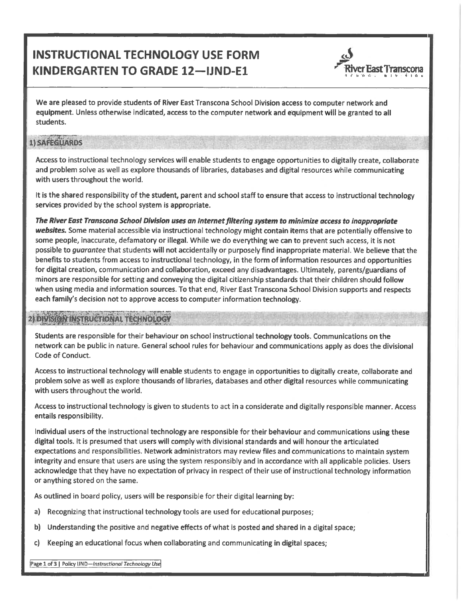# INSTRUCTIONAL TECHNOLOGY USE FORM KINDERGARTEN TO GRADE 12-IJND-E1



We are pleased to provide students of River East Transcona School Division access to computer network and equipment. Unless otherwise indicated, access to the computer network and equipment will be granted to all students.

#### 1) SAFEGUARDS

Access to instructional technology services will enable students to engage opportunities to digitally create, collaborate and problem solve as well as explore thousands of libraries, databases and digital resources while communicating with users throughout the world.

It is the shared responsibility of the student, parent and school staff to ensure that access to instructional technology services provided by the school system is appropriate.

The River East Transcona School Division uses an Internet filtering system to minimize access to inappropriate websites. Some material accessible via instructional technology might contain items that are potentially offensive to some people, inaccurate, defamatory or illegal. While we do everything we can to prevent such access, it is not possible to guarantee that students will not accidentally or purposely find inappropriate material. We believe that the benefits to students from access to instructional technology, in the form of information resources and opportunities for digital creation, communication and collaboration, exceed any disadvantages. Ultimately, parents/guardians of minors are responsible for setting and conveying the digital citizenship standards that their children should follow when using media and information sources. To that end, River East Transcona School Division supports and respects each family's decision not to approve access to computer information technology.

### 2) DIVISION INSTRUCTIONAL TECHNOLOGY

Students are responsible for their behaviour on school instructional technology tools. Communications on the network can be public in nature. General school rules for behaviour and communications apply as does the divisional Code of Conduct.

Access to instructional technology will enable students to engage in opportunities to digitally create, collaborate and problem solve as well as explore thousands of libraries, databases and other digital resources while communicating with users throughout the world.

Access to instructional technology is given to students to act in a considerate and digitally responsible manner. Access entails responsibility.

Individual users of the instructional technology are responsible for their behaviour and communications using these digital tools. It is presumed that users will comply with divisional standards and will honour the articulated expectations and responsibilities. Network administrators may review files and communications to maintain system integrity and ensure that users are using the system responsibly and in accordance with all applicable policies. Users acknowledge that they have no expectation of privacy in respect of their use of instructional technology information or anything stored on the same.

As outlined in board policy, users will be responsible for their digital learning by:

- a) Recognizing that instructional technology tools are used for educational purposes;
- b) Understanding the positive and negative effects of what is posted and shared in a digital space;
- c) Keeping an educational focus when collaborating and communicating in digital spaces;

Page 1 of 3 | Policy IJND-Instructional Technology Use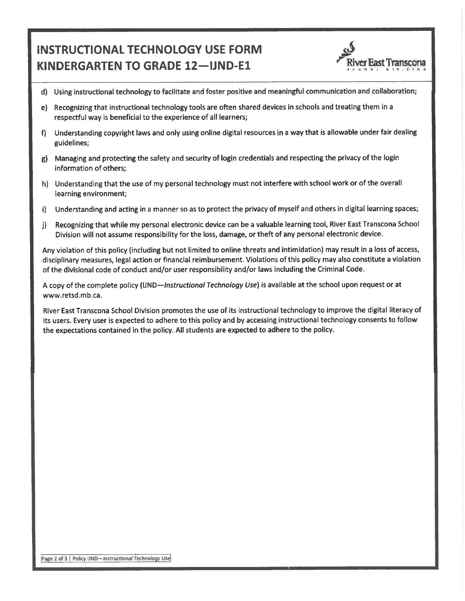## INSTRUCTIONAL TECHNOLOGY USE FORM KINDERGARTEN TO GRADE 12-IJND-E1



- d) Using instructional technology to facilitate and foster positive and meaningful communication and collaboration;
- e) Recognizing that instructional technology tools are often shared devices in schools and treating them in a respectful way is beneficial to the experience of all learners;
- f) Understanding copyright laws and only using online digital resources in a way that is allowable under fair dealing guidelines;
- g) Managing and protecting the safety and security of login credentials and respecting the privacy of the login information of others;
- h) Understanding that the use of my personal technology must not interfere with school work or of the overall learning environment;
- i) Understanding and acting in a manner so as to protect the privacy of myself and others in digital learning spaces;
- j) Recognizing that while my personal electronic device can be a valuable learning tool, River East Transcona School Division will not assume responsibility for the loss, damage, or theft of any personal electronic device.

Any violation of this policy (including but not limited to online threats and intimidation) may result in a loss of access, disciplinary measures, legal action or financial reimbursement. Violations of this policy may also constitute a violation of the divisional code of conduct and/or user responsibility and/or laws including the Criminal Code.

A copy of the complete policy (IJND-*Instructional Technology Use*) is available at the school upon request or at www.retsd.mb.ca.

River East Transcona School Division promotes the use of its instructional technology to improve the digital literacy of its users. Every user is expected to adhere to this policy and by accessing instructional technology consents to follow the expectations contained in the policy. All students are expected to adhere to the policy.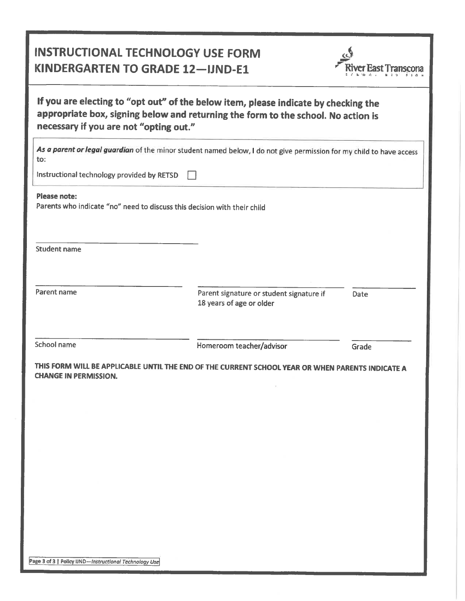## INSTRUCTIONAL TECHNOLOGY USE FORM KINDERGARTEN TO GRADE 12-JJND-E1



If you are electing to "opt out" of the below item, please indicate by checking the appropriate box, signing below and returning the form to the school. No action is necessary if you are not "opting out."

As a parent or legal guardian of the minor student named below, I do not give permission for my child to have access to:

Instructional technology provided by RETSD  $\Box$ 

Please note:

Parents who indicate "no" need to discuss this decision with their child

Student name

Parent name

Parent signature or student signature if 18 years of age or older

Date

School name

Homeroom teacher/advisor

Grade

THIS FORM WILL BE APPLICABLE UNTIL THE END OF THE CURRENT SCHOOL YEAR OR WHEN PARENTS INDICATE A CHANGE IN PERMISSION.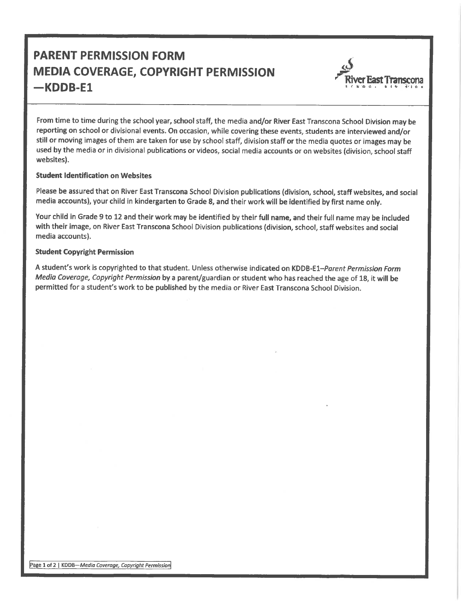# PARENT PERMISSION FORM MEDIA COVERAGE, COPYRIGHT PERMISSION -KDDB-E1 River East Transconal River East Transconal River East Transconal



From time to time during the school year, school staff, the media and/or River East Transcona School Division may be reporting on school or divisional events. On occasion, while covering these events, students are interviewed and/or still or moving images of them are taken for use by school staff, division staff or the media quotes or images may be used by the media or in divisional publications or videos, social media accounts or on websites (division, school staff websites).

#### Student Identification on Websites

Please be assured that on River East Transcona School Division publications (division, school, staff websites, and social media accounts), your child in kindergarten to Grade 8, and their work will be identified by first name only.

Your child in Grade 9 to 12 and their work may be identified by their full name, and their full name may be included with their image, on River East Transcona School Division publications (division, school, staff websites and social media accounts).

#### Student Copyright Permission

A student's work is copyrighted to that student. Unless otherwise indicated on KDDB-El-Porent Permission Form Media Coverage. Copyright Permission by a parent/guardian or student who has reached the age of 18, it will be permitted for a student's work to be published by the media or River East Transcona School Division.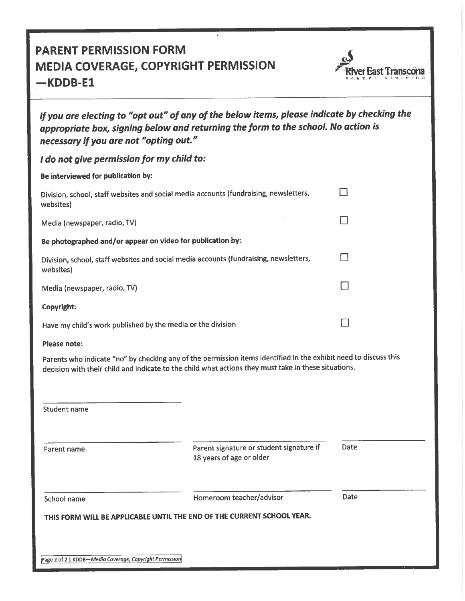## PARENT PERMISSION FORM MEDIA COVERAGE, COPYRIGHT PERMISSION  $-KDB-E1$



| If you are electing to "opt out" of any of the below items, please indicate by checking the<br>appropriate box, signing below and returning the form to the school. No action is<br>necessary if you are not "opting out." |   |  |  |  |
|----------------------------------------------------------------------------------------------------------------------------------------------------------------------------------------------------------------------------|---|--|--|--|
| I do not give permission for my child to:                                                                                                                                                                                  |   |  |  |  |
| Be interviewed for publication by:                                                                                                                                                                                         |   |  |  |  |
| Division, school, staff websites and social media accounts (fundraising, newsletters,<br>websites)                                                                                                                         | П |  |  |  |
| Media (newspaper, radio, TV)                                                                                                                                                                                               |   |  |  |  |
| Be photographed and/or appear on video for publication by:                                                                                                                                                                 |   |  |  |  |
| Division, school, staff websites and social media accounts (fundraising, newsletters,<br>websites)                                                                                                                         | П |  |  |  |
| Media (newspaper, radio, TV)                                                                                                                                                                                               |   |  |  |  |
| Copyright:                                                                                                                                                                                                                 |   |  |  |  |
| Have my child's work published by the media or the division                                                                                                                                                                |   |  |  |  |
| <b>Please note:</b>                                                                                                                                                                                                        |   |  |  |  |
| Parents who indicate "no" by checking any of the permission items identified in the exhibit need to discuss this<br>decision with their child and indicate to the child what actions they must take in these situations.   |   |  |  |  |
| <b>Student name</b>                                                                                                                                                                                                        |   |  |  |  |
|                                                                                                                                                                                                                            |   |  |  |  |

Parent name **Parent signature or student signature if** 18 years of age or older

Date

School name **Homeroom** teacher/advisor

Date

THIS FORM WILL BE APPLICABLE UNTIL THE END OF THE CURRENT SCHOOL YEAR.

Page 2 of 2 | KDDB-Media Coverage, Copyright Permission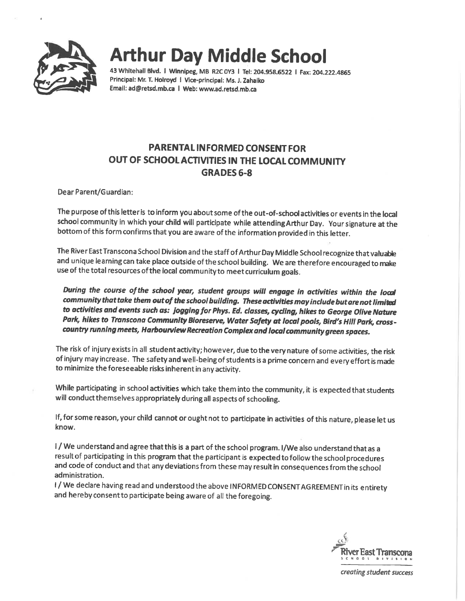

43 Whitehall Blvd. I Winnipeg, MB R2COY3 I Tel: 204.958.6522 I Fax: 204. 222. 4865 Principal: Mr. T. Holroyd I Vice-principal: Ms. J. Zahaiko Email: ad@retsd.mb.ca I Web: www.ad.retsd. mb.ca

## PARENTAL INFORMED CONSENT FOR OUT OF SCHOOLACTIVITIES IN THE LOCAL COMMUNITY GRADES 6-8

DearParent/Guardian:

The purpose of this letter is to inform you about some of the out-of-schod activities or events in the local school community in which your child will participate while attendingArthur Day. Your signature at the bottom of this form confirms that you are aware of the information provided in this letter.

The River East Transcona School Division and the staff of ArthurDay Middle School recognize that valuable and unique learning can take place outside of the school building. We are therefore encouraged to make use of the total resources of the local community to meet curriculum goals.

During the course of the school year, student groups will engage in activities within the local community that take them out of the school building. These activities may include but are not limited to activities and events such as: jogging for Phys. Ed. classes, cycling, hikes to George Olive Nature Park, hikes to Transcona Community Bioreserve, Water Safety at local pools, Bird's Hill Park, crosscountry running meets, Harbourvlew Recreation Complex and local community green spaces.

The risk of injury exists in all student activity; however, due to the very nature of some activities, the risk of injury may increase. The safety and well-being of students is a prime concern and every effort is made to minimize the foreseeable risks inherent in any activity.

While participating in school activities which take them into the community, it is expected that students will conduct themselves appropriately during all aspects of schooling.

If, for some reason, your child cannot or ought not to participate in activities of this nature, please let us know.

I / We understand and agree that this is a part of the school program. 1/We also understand that as a result of participating in this program that the participant is expected to follow the school procedures and code of conduct and that any deviations from these may result in consequences from the school administration.

I/We declare having read and understood the above INFORMED CONSENT AGREEMENT in its entirety and hereby consentto participate being aware of all the foregoing.

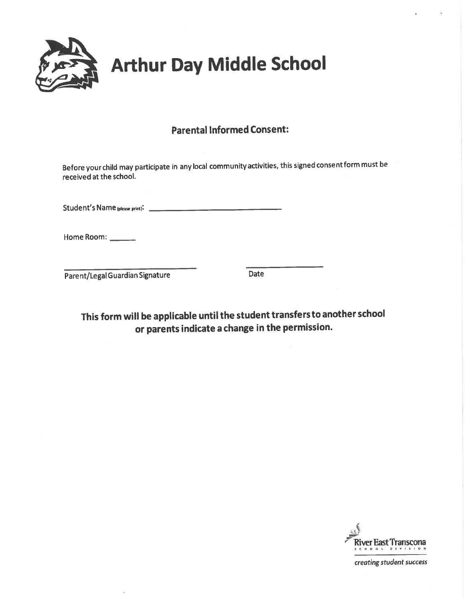

### Parental Informed Consent:

Before yourchild may participate in any local community activities, this signed consentform must be received at the school.

Student's Name ipiease print):

Home Room:

Parent/Legal Guardian Signature Date

This form will be applicable until the student transfersto another school or parents indicate a change in the permission.

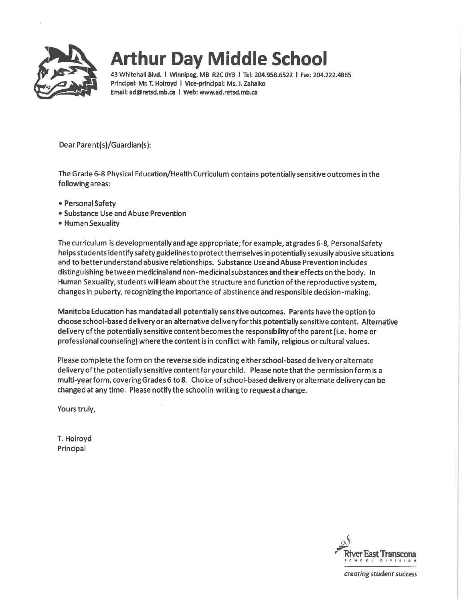

43 Whitehall Blvd. I Winnipeg, MB R2COY3 I Tel: 204.958.6522 I Fax: 204. 222.4865 Principal: Mr. T. Holroyd I Vice-principal: Ms. J. Zahaiko Email: ad@retsd.mb.ca I Web: www.ad.retsd.mb.ca

Dear Parent(s)/Guardian(s):

The Grade 6-8 Physical Education/Health Curriculum contains potentially sensitive outcomes in the following areas:

- . Personal Safety
- . Substance Use and Abuse Prevention
- . Human Sexuality

The curriculum is developmentally and age appropriate; for example, atgrades 6-8, PersonalSafety helps students identify safety guidelines to protect themselves in potentially sexually abusive situations and to better understand abusive relationships. Substance Useand Abuse Prevention includes distinguishing between medicinal and non-medicinal substances and their effects on the body. In Human Sexuality, students will learn aboutthe structure and function of the reproductive system, changes in puberty, recognizing the importance of abstinence and responsible decision-making.

Manitoba Education has mandated all potentially sensitive outcomes. Parents have the option to choose school-based delivery oran alternative delivery forthis potentially sensitive content. Alternative delivery of the potentially sensitive content becomes the responsibility of the parent (i.e. home or professional counseling) where the content is in conflict with family, religious or cultural values.

Please complete the form on the reverse side indicating eitherschool-based delivery or alternate deliveryofthe potentially sensitive contentforyour child. Please note that the permission form is a multi-yearform, covering Grades 6 to 8. Choice of school-based delivery or alternate delivery can be changed at any time. Please notify the school in writing to requesta change.

Yours truly,

T. Holroyd Principal

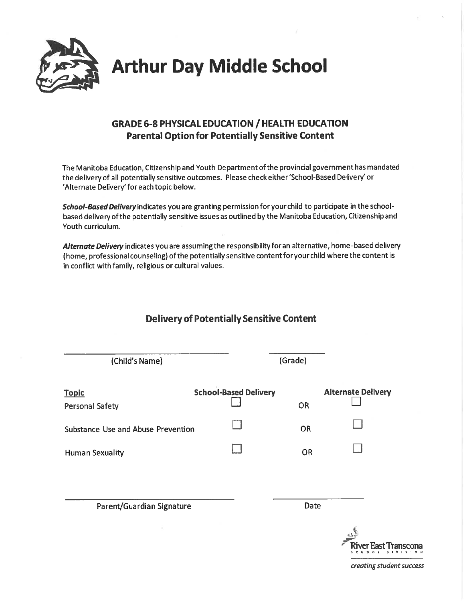

### GRADE 6-8 PHYSICAL EDUCATION / HEALTH EDUCATION Parental Option for Potentially Sensitive Content

The Manitoba Education, Citizenship and Youth Department of the provincial government has mandated the delivery of all potentially sensitive outcomes. Please check either'School-Based Delivery'or 'Alternate Delivery'for each topic below.

School-Based Delivery indicates you are granting permission for your child to participate in the schoolbased delivery of the potentially sensitive issues as outlined by the Manitoba Education, Citizenship and Youth curriculum.

Alternate Delivery indicates you are assuming the responsibility for an alternative, home-based delivery (home, professional counseling) of the potentially sensitive contentforyourchild where the content is in conflict with family, religious or cultural values.

| (Child's Name)                            |                              | (Grade)   |                                                                         |
|-------------------------------------------|------------------------------|-----------|-------------------------------------------------------------------------|
| <b>Topic</b><br><b>Personal Safety</b>    | <b>School-Based Delivery</b> | <b>OR</b> | <b>Alternate Delivery</b>                                               |
| <b>Substance Use and Abuse Prevention</b> |                              | OR        |                                                                         |
| <b>Human Sexuality</b>                    |                              | OR        |                                                                         |
| Parent/Guardian Signature                 |                              | Date      |                                                                         |
|                                           |                              |           | ver East Transcona<br>$D$   $V$   $S$   $Q$ $\uparrow$<br><b>SCHOOL</b> |

## Delivery of Potentially Sensitive Content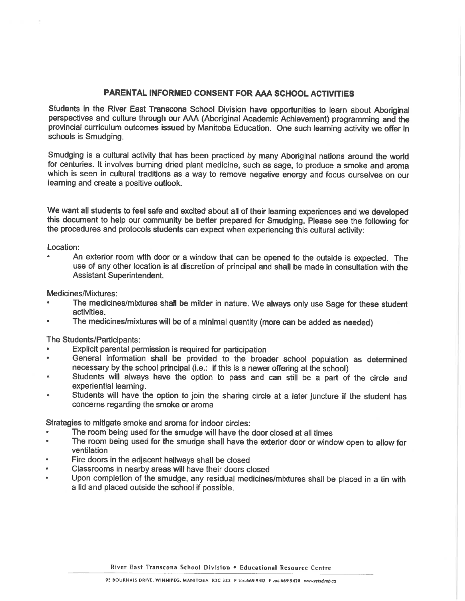### PARENTAL INFORMED CONSENT FOR AAA SCHOOL ACTIVITIES

Students in the River East Transcona School Division have opportunities to learn about Aboriginal perspectives and culture through our AAA (Aboriginal Academic Achievement) programming and the provincial curriculum outcomes issued by Manitoba Education. One such learning activity we offer in schools is Smudging.

Smudging is a cultural activity that has been practiced by many Aboriginal nations around the world for centuries. It involves burning dried plant medicine, such as sage, to produce a smoke and aroma which is seen in cultural traditions as a way to remove negative energy and focus ourselves on our learning and create a positive outlook.

We want all students to feel safe and excited about all of their learning experiences and we developed this document to help our community be better prepared for Smudging. Please see the following for the procedures and protocols students can expect when experiencing this cultural activity:

Location:

An exterior room with door or a window that can be opened to the outside is expected. The use of any other location is at discretion of principal and shall be made in consultation with the Assistant Superintendent.

Medicines/Mixtures:

- The medicines/mixtures shall be milder in nature. We always only use Sage for these student activities.
- The medicines/mixtures will be of a minimal quantity (more can be added as needed)

The Students/Participants:

- Explicit parental permission is required for participation
- General information shall be provided to the broader school population as determined  $\bullet$ necessary by the school principal (i.e.: if this is a newer offering at the school)
- Students will always have the option to pass and can still be a part of the circle and experiential learning.
- Students will have the option to join the sharing circle at a later juncture if the student has concerns regarding the smoke or aroma

Strategies to mitigate smoke and aroma for indoor circles:

- The room being used for the smudge will have the door closed at all times
- The room being used for the smudge shall have the exterior door or window open to allow for ventilation
- Fire doors in the adjacent hallways shall be closed
- Classrooms in nearby areas will have their doors closed
- Upon completion of the smudge, any residual medicines/mixtures shall be placed in a tin with a lid and placed outside the school if possible.

River East Transcona School Division . Educational Resource Centre